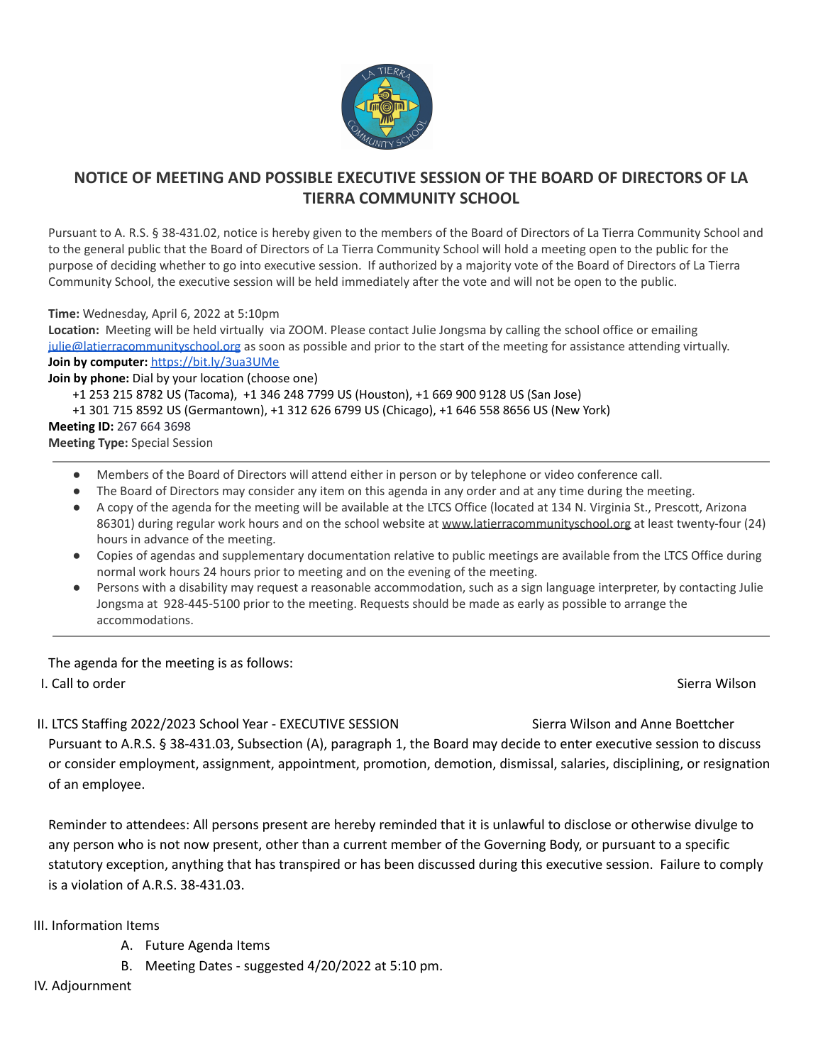

# **NOTICE OF MEETING AND POSSIBLE EXECUTIVE SESSION OF THE BOARD OF DIRECTORS OF LA TIERRA COMMUNITY SCHOOL**

Pursuant to A. R.S. § 38-431.02, notice is hereby given to the members of the Board of Directors of La Tierra Community School and to the general public that the Board of Directors of La Tierra Community School will hold a meeting open to the public for the purpose of deciding whether to go into executive session. If authorized by a majority vote of the Board of Directors of La Tierra Community School, the executive session will be held immediately after the vote and will not be open to the public.

#### **Time:** Wednesday, April 6, 2022 at 5:10pm

**Location:** Meeting will be held virtually via ZOOM. Please contact Julie Jongsma by calling the school office or emailing [julie@latierracommunityschool.org](mailto:julie@latierracommunityschool.org) as soon as possible and prior to the start of the meeting for assistance attending virtually. **Join by computer:** <https://bit.ly/3ua3UMe>

**Join by phone:** Dial by your location (choose one)

+1 253 215 8782 US (Tacoma), +1 346 248 7799 US (Houston), +1 669 900 9128 US (San Jose)

+1 301 715 8592 US (Germantown), +1 312 626 6799 US (Chicago), +1 646 558 8656 US (New York)

**Meeting ID:** 267 664 3698 **Meeting Type:** Special Session

- Members of the Board of Directors will attend either in person or by telephone or video conference call.
- The Board of Directors may consider any item on this agenda in any order and at any time during the meeting.
- A copy of the agenda for the meeting will be available at the LTCS Office (located at 134 N. Virginia St., Prescott, Arizona 86301) during regular work hours and on the school website at [www.latierracommunityschool.org](http://www.latierracommunityschool.org) at least twenty-four (24) hours in advance of the meeting.
- Copies of agendas and supplementary documentation relative to public meetings are available from the LTCS Office during normal work hours 24 hours prior to meeting and on the evening of the meeting.
- Persons with a disability may request a reasonable accommodation, such as a sign language interpreter, by contacting Julie Jongsma at 928-445-5100 prior to the meeting. Requests should be made as early as possible to arrange the accommodations.

### The agenda for the meeting is as follows:

I. Call to order Sierra Wilson and Sierra Wilson Sierra Wilson Sierra Wilson Sierra Wilson Sierra Wilson Sierra Wilson

II. LTCS Staffing 2022/2023 School Year - EXECUTIVE SESSION Sierra Wilson and Anne Boettcher Pursuant to A.R.S. § 38-431.03, Subsection (A), paragraph 1, the Board may decide to enter executive session to discuss or consider employment, assignment, appointment, promotion, demotion, dismissal, salaries, disciplining, or resignation of an employee.

Reminder to attendees: All persons present are hereby reminded that it is unlawful to disclose or otherwise divulge to any person who is not now present, other than a current member of the Governing Body, or pursuant to a specific statutory exception, anything that has transpired or has been discussed during this executive session. Failure to comply is a violation of A.R.S. 38-431.03.

### III. Information Items

- A. Future Agenda Items
- B. Meeting Dates suggested 4/20/2022 at 5:10 pm.
- IV. Adjournment